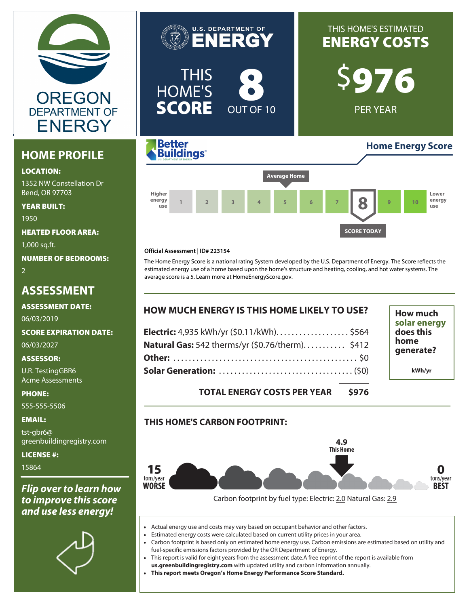

## **HOME PROFILE**

#### **LOCATION:**

1352 NW Constellation Dr Bend, OR 97703

**YEAR BUILT:** 1950

**HEATED FLOOR AREA:**

1,000 sq.ft.

**NUMBER OF BEDROOMS:**

2

## **ASSESSMENT**

**ASSESSMENT DATE:**

06/03/2019

### **SCORE EXPIRATION DATE:**

06/03/2027

### **ASSESSOR:**

U.R. TestingGBR6 Acme Assessments

**PHONE:**

555-555-5506

#### **EMAIL:**

tst-gbr6@ greenbuildingregistry.com

**LICENSE #:** 15864

## *Flip over to learn how to improve this score and use less energy!*







#### **Official Assessment | ID# 223154**

The Home Energy Score is a national rating System developed by the U.S. Department of Energy. The Score reflects the estimated energy use of a home based upon the home's structure and heating, cooling, and hot water systems. The average score is a 5. Learn more at HomeEnergyScore.gov.

| <b>HOW MUCH ENERGY IS THIS HOME LIKELY TO USE?</b> | <b>How much</b>                                |
|----------------------------------------------------|------------------------------------------------|
| Electric: 4,935 kWh/yr (\$0.11/kWh) \$564          | solar energy<br>does this<br>home<br>qenerate? |
| Natural Gas: 542 therms/yr (\$0.76/therm) \$412    |                                                |
|                                                    |                                                |
|                                                    | kWh/yr                                         |

### **TOTAL ENERGY COSTS PER YEAR \$976**

### **THIS HOME'S CARBON FOOTPRINT:**



Carbon footprint by fuel type: Electric: 2.0 Natural Gas: 2.9

- Actual energy use and costs may vary based on occupant behavior and other factors.
- Estimated energy costs were calculated based on current utility prices in your area.
- Carbon footprint is based only on estimated home energy use. Carbon emissions are estimated based on utility and fuel-specific emissions factors provided by the OR Department of Energy.
- This report is valid for eight years from the assessment date.A free reprint of the report is available from
- **[us.greenbuildingregistry.com](https://us.greenbuildingregistry.com)** with updated utility and carbon information annually. • **This report meets Oregon's Home Energy Performance Score Standard.**